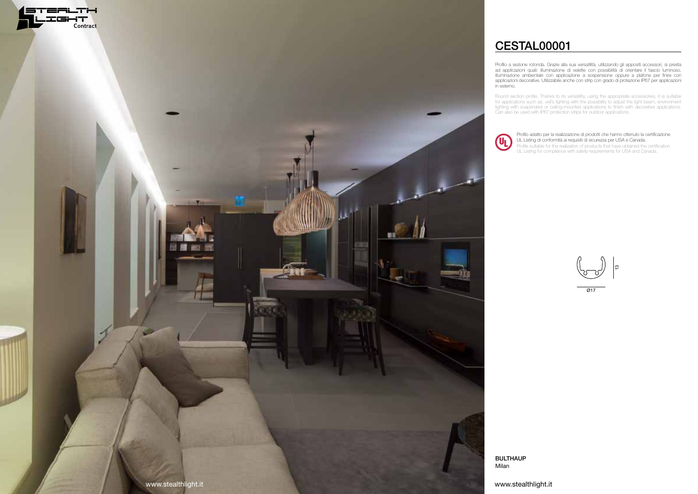Profilo a sezione rotonda. Grazie alla sua versatilità, utilizzando gli appositi accessori, si presta ad applicazioni quali: illuminazione di velette con possibilità di orientare il fascio luminoso, illuminazione ambientale con applicazione a sospensione oppure a plafone per finire con applicazioni decorative. Utilizzabile anche con strip con grado di protezione IP67 per applicazioni

Round section profile. Thanks to its versatility, using the appropriate accessories, it is suitable for applications such as: veil's lighting with the possibility to adjust the light beam, environment lighting with suspended or ceiling-mounted applications to finish with decorative applications. Can also be used with IP67 protection strips for outdoor applications.



# CESTAL00001

Profilo adatto per la realizzazione di prodotti che hanno ottenuto la certificazione UL Listing di conformità ai requisiti di sicurezza per USA e Canada. Profile suitable for the realization of products that have obtained the certification UL Listing for compliance with safety requirements for USA and Canada.

 $\overline{\varnothing}$ 17 ლ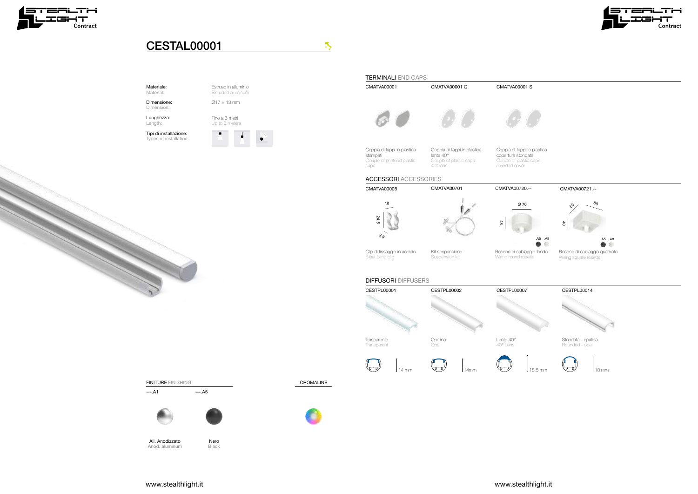Estruso in alluminio

Extruded aluminum  $\varnothing$ 17 × 13 mm

Fino a 6 metri Up to 6 meters





 $\mathcal{F}_{\mathcal{F}}$ 

FINITURE FINISHING

 $---.A1$   $---.A5$ 



### Materiale: Material:

Dimensione: Dimension:

All. Anodizzato Anod. aluminum Nero **Black** 

Lunghezza: Length:

Tipi di installazione: Types of installation:

CROMALINE









## CESTAL00001







Stondata - opalina Rounded - opal







www.stealthlight.it www.stealthlight.it





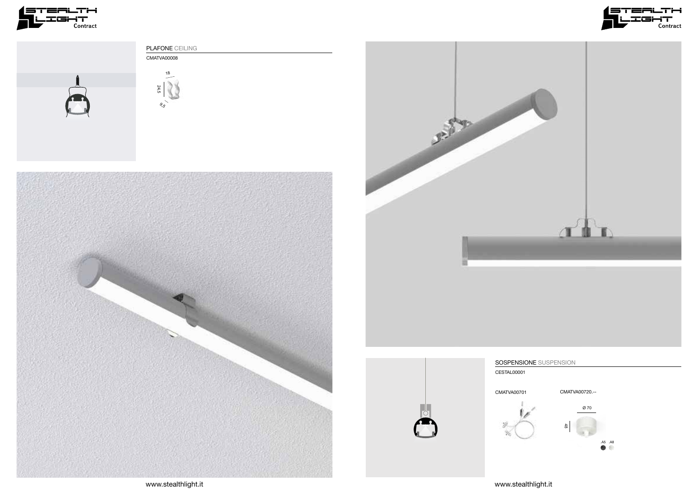







CESTAL00001

CMATVA00701



www.stealthlight.it

### SOSPENSIONE SUSPENSION